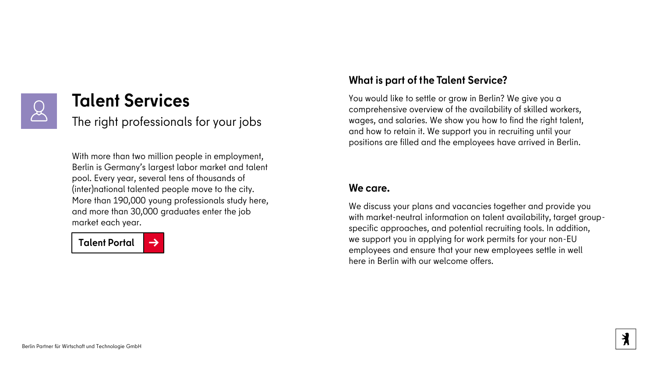

## **Talent Services**

The right professionals for your jobs

With more than two million people in employment, Berlin is Germany's largest labor market and talent pool. Every year, several tens of thousands of (inter)national talented people move to the city. More than 190,000 young professionals study here, and more than 30,000 graduates enter the job market each year.



## **What is part of the Talent Service?**

You would like to settle or grow in Berlin? We give you a comprehensive overview of the availability of skilled workers, wages, and salaries. We show you how to find the right talent, and how to retain it. We support you in recruiting until your positions are filled and the employees have arrived in Berlin.

### **We care.**

We discuss your plans and vacancies together and provide you with market-neutral information on talent availability, target groupspecific approaches, and potential recruiting tools. In addition, we support you in applying for work permits for your non-EU employees and ensure that your new employees settle in well here in Berlin with our welcome offers.